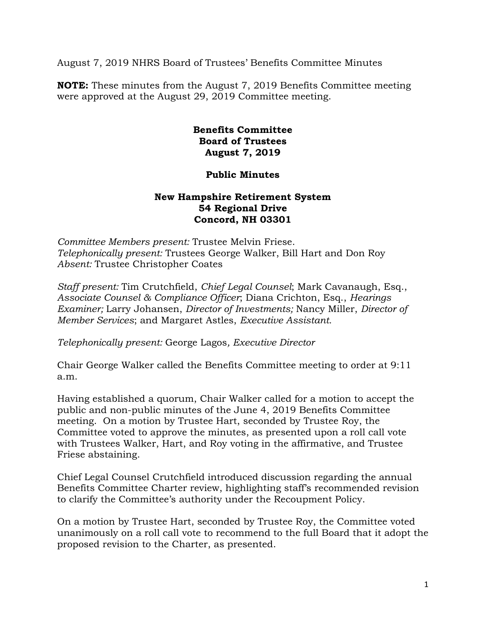August 7, 2019 NHRS Board of Trustees' Benefits Committee Minutes

**NOTE:** These minutes from the August 7, 2019 Benefits Committee meeting were approved at the August 29, 2019 Committee meeting.

## **Benefits Committee Board of Trustees August 7, 2019**

## **Public Minutes**

## **New Hampshire Retirement System 54 Regional Drive Concord, NH 03301**

*Committee Members present:* Trustee Melvin Friese. *Telephonically present:* Trustees George Walker, Bill Hart and Don Roy *Absent:* Trustee Christopher Coates

*Staff present:* Tim Crutchfield, *Chief Legal Counsel*; Mark Cavanaugh, Esq., *Associate Counsel & Compliance Officer*; Diana Crichton, Esq., *Hearings Examiner;* Larry Johansen, *Director of Investments;* Nancy Miller, *Director of Member Services*; and Margaret Astles, *Executive Assistant.* 

*Telephonically present:* George Lagos*, Executive Director* 

Chair George Walker called the Benefits Committee meeting to order at 9:11 a.m.

Having established a quorum, Chair Walker called for a motion to accept the public and non-public minutes of the June 4, 2019 Benefits Committee meeting. On a motion by Trustee Hart, seconded by Trustee Roy, the Committee voted to approve the minutes, as presented upon a roll call vote with Trustees Walker, Hart, and Roy voting in the affirmative, and Trustee Friese abstaining.

Chief Legal Counsel Crutchfield introduced discussion regarding the annual Benefits Committee Charter review, highlighting staff's recommended revision to clarify the Committee's authority under the Recoupment Policy.

On a motion by Trustee Hart, seconded by Trustee Roy, the Committee voted unanimously on a roll call vote to recommend to the full Board that it adopt the proposed revision to the Charter, as presented.